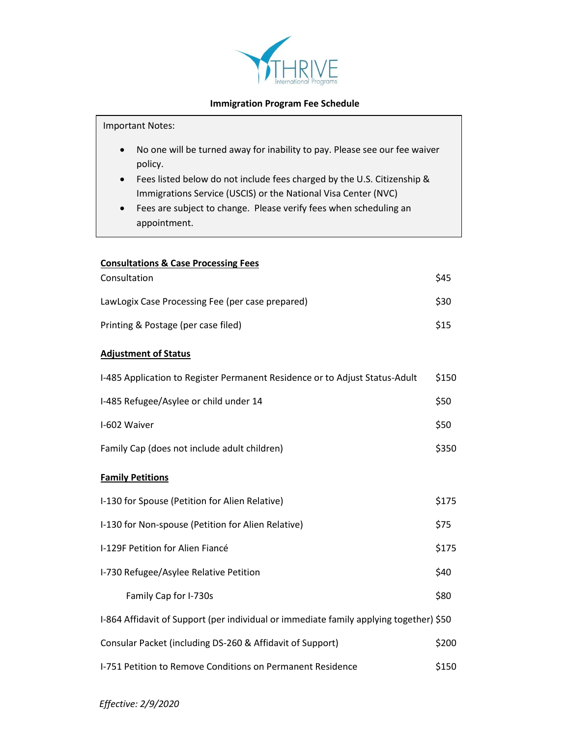

## **Immigration Program Fee Schedule**

Important Notes:

- No one will be turned away for inability to pay. Please see our fee waiver policy.
- Fees listed below do not include fees charged by the U.S. Citizenship & Immigrations Service (USCIS) or the National Visa Center (NVC)
- Fees are subject to change. Please verify fees when scheduling an appointment.

| <b>Consultations &amp; Case Processing Fees</b>                                        |       |
|----------------------------------------------------------------------------------------|-------|
| Consultation                                                                           | \$45  |
| LawLogix Case Processing Fee (per case prepared)                                       | \$30  |
| Printing & Postage (per case filed)                                                    | \$15  |
| <b>Adjustment of Status</b>                                                            |       |
| I-485 Application to Register Permanent Residence or to Adjust Status-Adult            | \$150 |
| I-485 Refugee/Asylee or child under 14                                                 | \$50  |
| I-602 Waiver                                                                           | \$50  |
| Family Cap (does not include adult children)                                           | \$350 |
| <b>Family Petitions</b>                                                                |       |
| I-130 for Spouse (Petition for Alien Relative)                                         | \$175 |
| I-130 for Non-spouse (Petition for Alien Relative)                                     | \$75  |
| I-129F Petition for Alien Fiancé                                                       | \$175 |
| I-730 Refugee/Asylee Relative Petition                                                 | \$40  |
| Family Cap for I-730s                                                                  | \$80  |
| I-864 Affidavit of Support (per individual or immediate family applying together) \$50 |       |
| Consular Packet (including DS-260 & Affidavit of Support)                              | \$200 |
| I-751 Petition to Remove Conditions on Permanent Residence                             | \$150 |